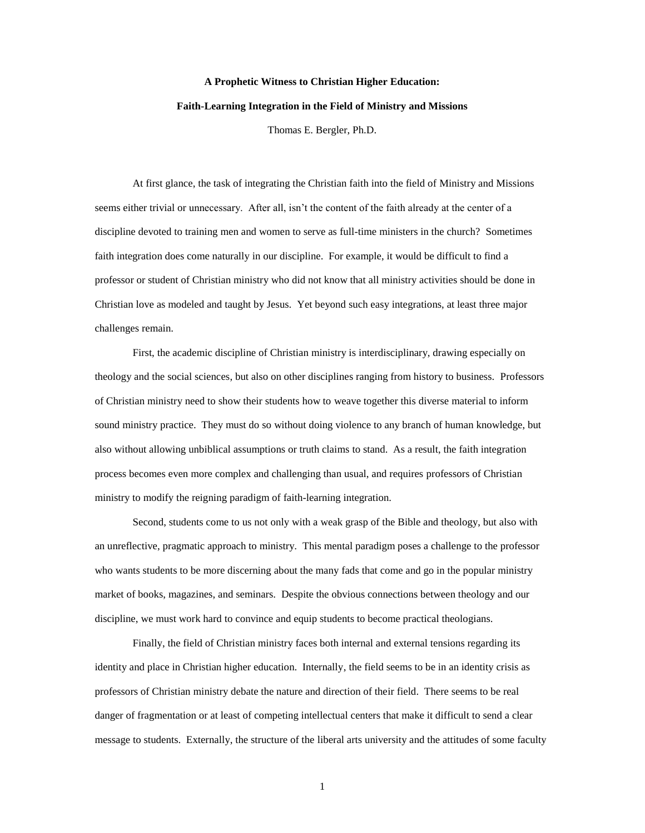# **A Prophetic Witness to Christian Higher Education: Faith-Learning Integration in the Field of Ministry and Missions**

Thomas E. Bergler, Ph.D.

At first glance, the task of integrating the Christian faith into the field of Ministry and Missions seems either trivial or unnecessary. After all, isn't the content of the faith already at the center of a discipline devoted to training men and women to serve as full-time ministers in the church? Sometimes faith integration does come naturally in our discipline. For example, it would be difficult to find a professor or student of Christian ministry who did not know that all ministry activities should be done in Christian love as modeled and taught by Jesus. Yet beyond such easy integrations, at least three major challenges remain.

First, the academic discipline of Christian ministry is interdisciplinary, drawing especially on theology and the social sciences, but also on other disciplines ranging from history to business. Professors of Christian ministry need to show their students how to weave together this diverse material to inform sound ministry practice. They must do so without doing violence to any branch of human knowledge, but also without allowing unbiblical assumptions or truth claims to stand. As a result, the faith integration process becomes even more complex and challenging than usual, and requires professors of Christian ministry to modify the reigning paradigm of faith-learning integration.

Second, students come to us not only with a weak grasp of the Bible and theology, but also with an unreflective, pragmatic approach to ministry. This mental paradigm poses a challenge to the professor who wants students to be more discerning about the many fads that come and go in the popular ministry market of books, magazines, and seminars. Despite the obvious connections between theology and our discipline, we must work hard to convince and equip students to become practical theologians.

Finally, the field of Christian ministry faces both internal and external tensions regarding its identity and place in Christian higher education. Internally, the field seems to be in an identity crisis as professors of Christian ministry debate the nature and direction of their field. There seems to be real danger of fragmentation or at least of competing intellectual centers that make it difficult to send a clear message to students. Externally, the structure of the liberal arts university and the attitudes of some faculty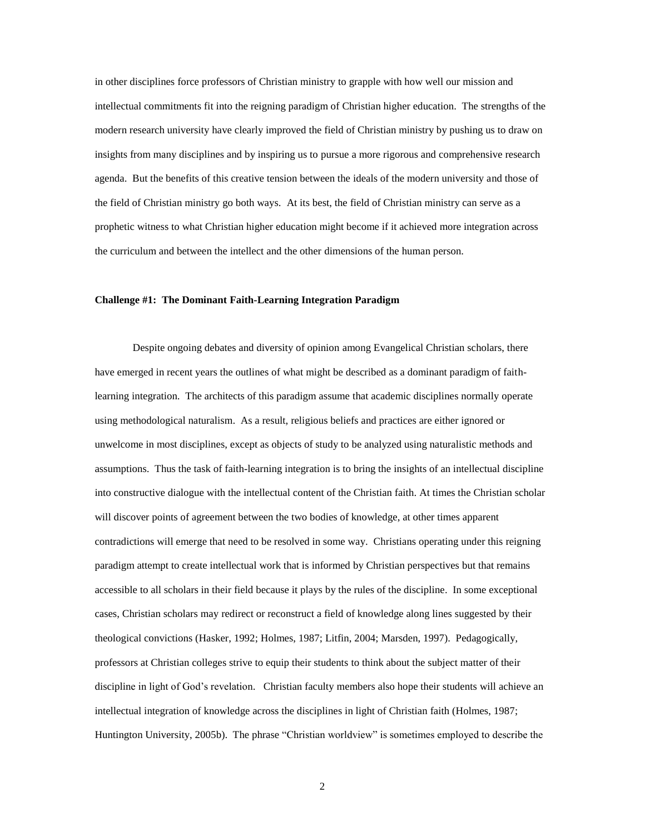in other disciplines force professors of Christian ministry to grapple with how well our mission and intellectual commitments fit into the reigning paradigm of Christian higher education. The strengths of the modern research university have clearly improved the field of Christian ministry by pushing us to draw on insights from many disciplines and by inspiring us to pursue a more rigorous and comprehensive research agenda. But the benefits of this creative tension between the ideals of the modern university and those of the field of Christian ministry go both ways. At its best, the field of Christian ministry can serve as a prophetic witness to what Christian higher education might become if it achieved more integration across the curriculum and between the intellect and the other dimensions of the human person.

#### **Challenge #1: The Dominant Faith-Learning Integration Paradigm**

Despite ongoing debates and diversity of opinion among Evangelical Christian scholars, there have emerged in recent years the outlines of what might be described as a dominant paradigm of faithlearning integration. The architects of this paradigm assume that academic disciplines normally operate using methodological naturalism. As a result, religious beliefs and practices are either ignored or unwelcome in most disciplines, except as objects of study to be analyzed using naturalistic methods and assumptions. Thus the task of faith-learning integration is to bring the insights of an intellectual discipline into constructive dialogue with the intellectual content of the Christian faith. At times the Christian scholar will discover points of agreement between the two bodies of knowledge, at other times apparent contradictions will emerge that need to be resolved in some way. Christians operating under this reigning paradigm attempt to create intellectual work that is informed by Christian perspectives but that remains accessible to all scholars in their field because it plays by the rules of the discipline. In some exceptional cases, Christian scholars may redirect or reconstruct a field of knowledge along lines suggested by their theological convictions (Hasker, 1992; Holmes, 1987; Litfin, 2004; Marsden, 1997). Pedagogically, professors at Christian colleges strive to equip their students to think about the subject matter of their discipline in light of God's revelation. Christian faculty members also hope their students will achieve an intellectual integration of knowledge across the disciplines in light of Christian faith (Holmes, 1987; Huntington University, 2005b). The phrase "Christian worldview" is sometimes employed to describe the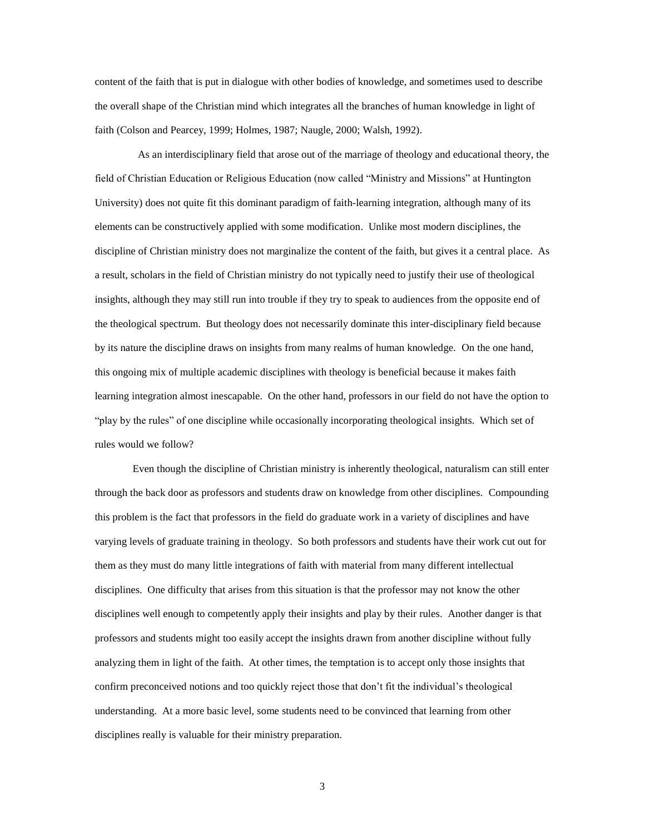content of the faith that is put in dialogue with other bodies of knowledge, and sometimes used to describe the overall shape of the Christian mind which integrates all the branches of human knowledge in light of faith (Colson and Pearcey, 1999; Holmes, 1987; Naugle, 2000; Walsh, 1992).

As an interdisciplinary field that arose out of the marriage of theology and educational theory, the field of Christian Education or Religious Education (now called "Ministry and Missions" at Huntington University) does not quite fit this dominant paradigm of faith-learning integration, although many of its elements can be constructively applied with some modification. Unlike most modern disciplines, the discipline of Christian ministry does not marginalize the content of the faith, but gives it a central place. As a result, scholars in the field of Christian ministry do not typically need to justify their use of theological insights, although they may still run into trouble if they try to speak to audiences from the opposite end of the theological spectrum. But theology does not necessarily dominate this inter-disciplinary field because by its nature the discipline draws on insights from many realms of human knowledge. On the one hand, this ongoing mix of multiple academic disciplines with theology is beneficial because it makes faith learning integration almost inescapable. On the other hand, professors in our field do not have the option to "play by the rules" of one discipline while occasionally incorporating theological insights. Which set of rules would we follow?

Even though the discipline of Christian ministry is inherently theological, naturalism can still enter through the back door as professors and students draw on knowledge from other disciplines. Compounding this problem is the fact that professors in the field do graduate work in a variety of disciplines and have varying levels of graduate training in theology. So both professors and students have their work cut out for them as they must do many little integrations of faith with material from many different intellectual disciplines. One difficulty that arises from this situation is that the professor may not know the other disciplines well enough to competently apply their insights and play by their rules. Another danger is that professors and students might too easily accept the insights drawn from another discipline without fully analyzing them in light of the faith. At other times, the temptation is to accept only those insights that confirm preconceived notions and too quickly reject those that don't fit the individual's theological understanding. At a more basic level, some students need to be convinced that learning from other disciplines really is valuable for their ministry preparation.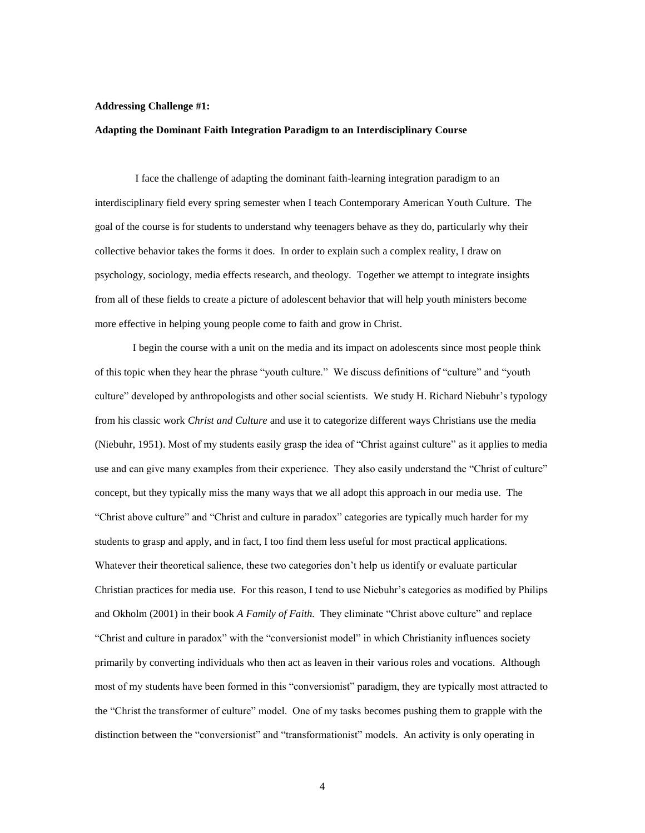#### **Addressing Challenge #1:**

#### **Adapting the Dominant Faith Integration Paradigm to an Interdisciplinary Course**

I face the challenge of adapting the dominant faith-learning integration paradigm to an interdisciplinary field every spring semester when I teach Contemporary American Youth Culture. The goal of the course is for students to understand why teenagers behave as they do, particularly why their collective behavior takes the forms it does. In order to explain such a complex reality, I draw on psychology, sociology, media effects research, and theology. Together we attempt to integrate insights from all of these fields to create a picture of adolescent behavior that will help youth ministers become more effective in helping young people come to faith and grow in Christ.

I begin the course with a unit on the media and its impact on adolescents since most people think of this topic when they hear the phrase "youth culture." We discuss definitions of "culture" and "youth culture" developed by anthropologists and other social scientists. We study H. Richard Niebuhr's typology from his classic work *Christ and Culture* and use it to categorize different ways Christians use the media (Niebuhr, 1951). Most of my students easily grasp the idea of "Christ against culture" as it applies to media use and can give many examples from their experience. They also easily understand the "Christ of culture" concept, but they typically miss the many ways that we all adopt this approach in our media use. The "Christ above culture" and "Christ and culture in paradox" categories are typically much harder for my students to grasp and apply, and in fact, I too find them less useful for most practical applications. Whatever their theoretical salience, these two categories don't help us identify or evaluate particular Christian practices for media use. For this reason, I tend to use Niebuhr's categories as modified by Philips and Okholm (2001) in their book *A Family of Faith.* They eliminate "Christ above culture" and replace "Christ and culture in paradox" with the "conversionist model" in which Christianity influences society primarily by converting individuals who then act as leaven in their various roles and vocations. Although most of my students have been formed in this "conversionist" paradigm, they are typically most attracted to the "Christ the transformer of culture" model. One of my tasks becomes pushing them to grapple with the distinction between the "conversionist" and "transformationist" models. An activity is only operating in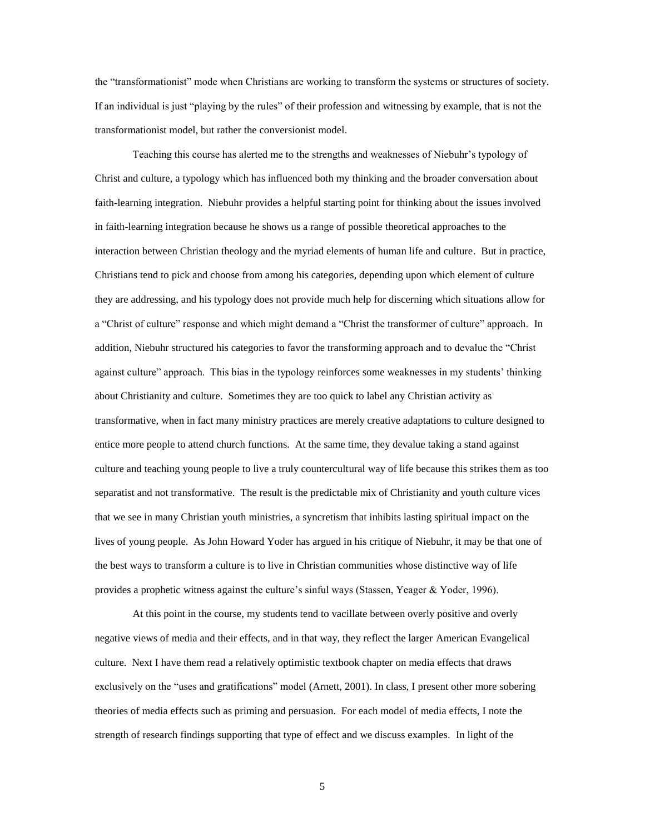the "transformationist" mode when Christians are working to transform the systems or structures of society. If an individual is just "playing by the rules" of their profession and witnessing by example, that is not the transformationist model, but rather the conversionist model.

Teaching this course has alerted me to the strengths and weaknesses of Niebuhr's typology of Christ and culture, a typology which has influenced both my thinking and the broader conversation about faith-learning integration. Niebuhr provides a helpful starting point for thinking about the issues involved in faith-learning integration because he shows us a range of possible theoretical approaches to the interaction between Christian theology and the myriad elements of human life and culture. But in practice, Christians tend to pick and choose from among his categories, depending upon which element of culture they are addressing, and his typology does not provide much help for discerning which situations allow for a "Christ of culture" response and which might demand a "Christ the transformer of culture" approach. In addition, Niebuhr structured his categories to favor the transforming approach and to devalue the "Christ against culture" approach. This bias in the typology reinforces some weaknesses in my students' thinking about Christianity and culture. Sometimes they are too quick to label any Christian activity as transformative, when in fact many ministry practices are merely creative adaptations to culture designed to entice more people to attend church functions. At the same time, they devalue taking a stand against culture and teaching young people to live a truly countercultural way of life because this strikes them as too separatist and not transformative. The result is the predictable mix of Christianity and youth culture vices that we see in many Christian youth ministries, a syncretism that inhibits lasting spiritual impact on the lives of young people. As John Howard Yoder has argued in his critique of Niebuhr, it may be that one of the best ways to transform a culture is to live in Christian communities whose distinctive way of life provides a prophetic witness against the culture's sinful ways (Stassen, Yeager & Yoder, 1996).

At this point in the course, my students tend to vacillate between overly positive and overly negative views of media and their effects, and in that way, they reflect the larger American Evangelical culture. Next I have them read a relatively optimistic textbook chapter on media effects that draws exclusively on the "uses and gratifications" model (Arnett, 2001). In class, I present other more sobering theories of media effects such as priming and persuasion. For each model of media effects, I note the strength of research findings supporting that type of effect and we discuss examples. In light of the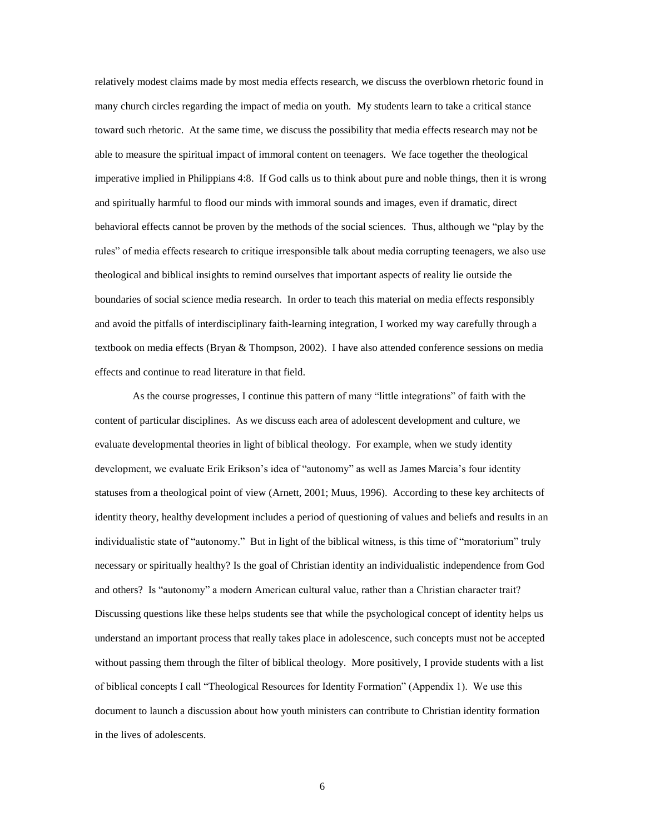relatively modest claims made by most media effects research, we discuss the overblown rhetoric found in many church circles regarding the impact of media on youth. My students learn to take a critical stance toward such rhetoric. At the same time, we discuss the possibility that media effects research may not be able to measure the spiritual impact of immoral content on teenagers. We face together the theological imperative implied in Philippians 4:8. If God calls us to think about pure and noble things, then it is wrong and spiritually harmful to flood our minds with immoral sounds and images, even if dramatic, direct behavioral effects cannot be proven by the methods of the social sciences. Thus, although we "play by the rules" of media effects research to critique irresponsible talk about media corrupting teenagers, we also use theological and biblical insights to remind ourselves that important aspects of reality lie outside the boundaries of social science media research. In order to teach this material on media effects responsibly and avoid the pitfalls of interdisciplinary faith-learning integration, I worked my way carefully through a textbook on media effects (Bryan & Thompson, 2002). I have also attended conference sessions on media effects and continue to read literature in that field.

As the course progresses, I continue this pattern of many "little integrations" of faith with the content of particular disciplines. As we discuss each area of adolescent development and culture, we evaluate developmental theories in light of biblical theology. For example, when we study identity development, we evaluate Erik Erikson's idea of "autonomy" as well as James Marcia's four identity statuses from a theological point of view (Arnett, 2001; Muus, 1996). According to these key architects of identity theory, healthy development includes a period of questioning of values and beliefs and results in an individualistic state of "autonomy." But in light of the biblical witness, is this time of "moratorium" truly necessary or spiritually healthy? Is the goal of Christian identity an individualistic independence from God and others? Is "autonomy" a modern American cultural value, rather than a Christian character trait? Discussing questions like these helps students see that while the psychological concept of identity helps us understand an important process that really takes place in adolescence, such concepts must not be accepted without passing them through the filter of biblical theology. More positively, I provide students with a list of biblical concepts I call "Theological Resources for Identity Formation" (Appendix 1). We use this document to launch a discussion about how youth ministers can contribute to Christian identity formation in the lives of adolescents.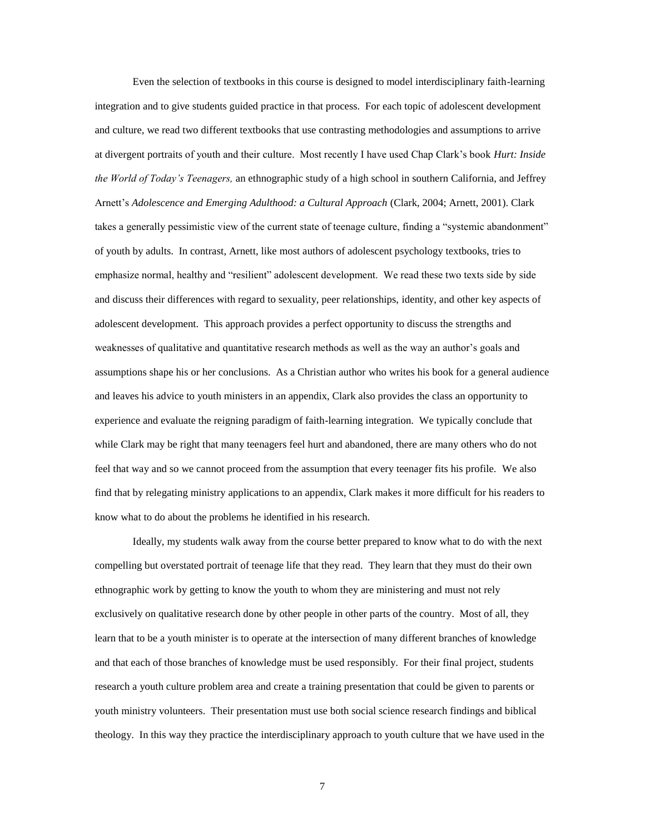Even the selection of textbooks in this course is designed to model interdisciplinary faith-learning integration and to give students guided practice in that process. For each topic of adolescent development and culture, we read two different textbooks that use contrasting methodologies and assumptions to arrive at divergent portraits of youth and their culture. Most recently I have used Chap Clark's book *Hurt: Inside the World of Today's Teenagers,* an ethnographic study of a high school in southern California, and Jeffrey Arnett's *Adolescence and Emerging Adulthood: a Cultural Approach* (Clark, 2004; Arnett, 2001). Clark takes a generally pessimistic view of the current state of teenage culture, finding a "systemic abandonment" of youth by adults. In contrast, Arnett, like most authors of adolescent psychology textbooks, tries to emphasize normal, healthy and "resilient" adolescent development. We read these two texts side by side and discuss their differences with regard to sexuality, peer relationships, identity, and other key aspects of adolescent development. This approach provides a perfect opportunity to discuss the strengths and weaknesses of qualitative and quantitative research methods as well as the way an author's goals and assumptions shape his or her conclusions. As a Christian author who writes his book for a general audience and leaves his advice to youth ministers in an appendix, Clark also provides the class an opportunity to experience and evaluate the reigning paradigm of faith-learning integration. We typically conclude that while Clark may be right that many teenagers feel hurt and abandoned, there are many others who do not feel that way and so we cannot proceed from the assumption that every teenager fits his profile. We also find that by relegating ministry applications to an appendix, Clark makes it more difficult for his readers to know what to do about the problems he identified in his research.

Ideally, my students walk away from the course better prepared to know what to do with the next compelling but overstated portrait of teenage life that they read. They learn that they must do their own ethnographic work by getting to know the youth to whom they are ministering and must not rely exclusively on qualitative research done by other people in other parts of the country. Most of all, they learn that to be a youth minister is to operate at the intersection of many different branches of knowledge and that each of those branches of knowledge must be used responsibly. For their final project, students research a youth culture problem area and create a training presentation that could be given to parents or youth ministry volunteers. Their presentation must use both social science research findings and biblical theology. In this way they practice the interdisciplinary approach to youth culture that we have used in the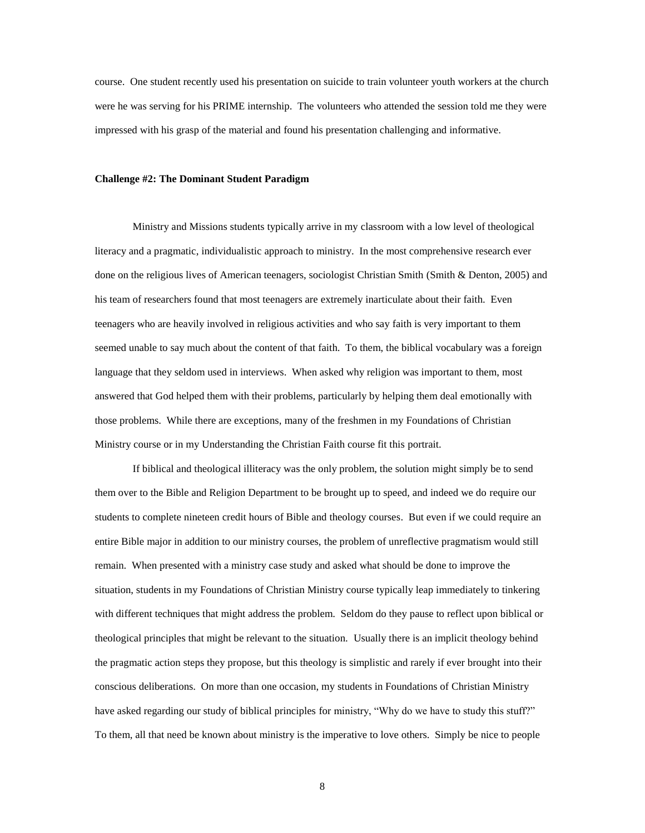course. One student recently used his presentation on suicide to train volunteer youth workers at the church were he was serving for his PRIME internship. The volunteers who attended the session told me they were impressed with his grasp of the material and found his presentation challenging and informative.

## **Challenge #2: The Dominant Student Paradigm**

Ministry and Missions students typically arrive in my classroom with a low level of theological literacy and a pragmatic, individualistic approach to ministry. In the most comprehensive research ever done on the religious lives of American teenagers, sociologist Christian Smith (Smith & Denton, 2005) and his team of researchers found that most teenagers are extremely inarticulate about their faith. Even teenagers who are heavily involved in religious activities and who say faith is very important to them seemed unable to say much about the content of that faith. To them, the biblical vocabulary was a foreign language that they seldom used in interviews. When asked why religion was important to them, most answered that God helped them with their problems, particularly by helping them deal emotionally with those problems. While there are exceptions, many of the freshmen in my Foundations of Christian Ministry course or in my Understanding the Christian Faith course fit this portrait.

If biblical and theological illiteracy was the only problem, the solution might simply be to send them over to the Bible and Religion Department to be brought up to speed, and indeed we do require our students to complete nineteen credit hours of Bible and theology courses. But even if we could require an entire Bible major in addition to our ministry courses, the problem of unreflective pragmatism would still remain. When presented with a ministry case study and asked what should be done to improve the situation, students in my Foundations of Christian Ministry course typically leap immediately to tinkering with different techniques that might address the problem. Seldom do they pause to reflect upon biblical or theological principles that might be relevant to the situation. Usually there is an implicit theology behind the pragmatic action steps they propose, but this theology is simplistic and rarely if ever brought into their conscious deliberations. On more than one occasion, my students in Foundations of Christian Ministry have asked regarding our study of biblical principles for ministry, "Why do we have to study this stuff?" To them, all that need be known about ministry is the imperative to love others. Simply be nice to people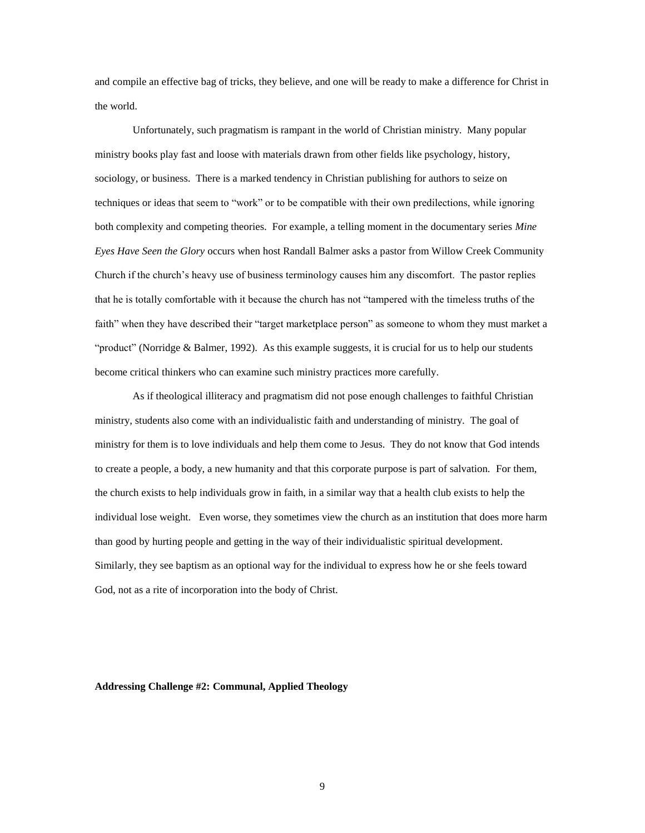and compile an effective bag of tricks, they believe, and one will be ready to make a difference for Christ in the world.

Unfortunately, such pragmatism is rampant in the world of Christian ministry. Many popular ministry books play fast and loose with materials drawn from other fields like psychology, history, sociology, or business. There is a marked tendency in Christian publishing for authors to seize on techniques or ideas that seem to "work" or to be compatible with their own predilections, while ignoring both complexity and competing theories. For example, a telling moment in the documentary series *Mine Eyes Have Seen the Glory* occurs when host Randall Balmer asks a pastor from Willow Creek Community Church if the church's heavy use of business terminology causes him any discomfort. The pastor replies that he is totally comfortable with it because the church has not "tampered with the timeless truths of the faith" when they have described their "target marketplace person" as someone to whom they must market a "product" (Norridge & Balmer, 1992). As this example suggests, it is crucial for us to help our students become critical thinkers who can examine such ministry practices more carefully.

As if theological illiteracy and pragmatism did not pose enough challenges to faithful Christian ministry, students also come with an individualistic faith and understanding of ministry. The goal of ministry for them is to love individuals and help them come to Jesus. They do not know that God intends to create a people, a body, a new humanity and that this corporate purpose is part of salvation. For them, the church exists to help individuals grow in faith, in a similar way that a health club exists to help the individual lose weight. Even worse, they sometimes view the church as an institution that does more harm than good by hurting people and getting in the way of their individualistic spiritual development. Similarly, they see baptism as an optional way for the individual to express how he or she feels toward God, not as a rite of incorporation into the body of Christ.

#### **Addressing Challenge #2: Communal, Applied Theology**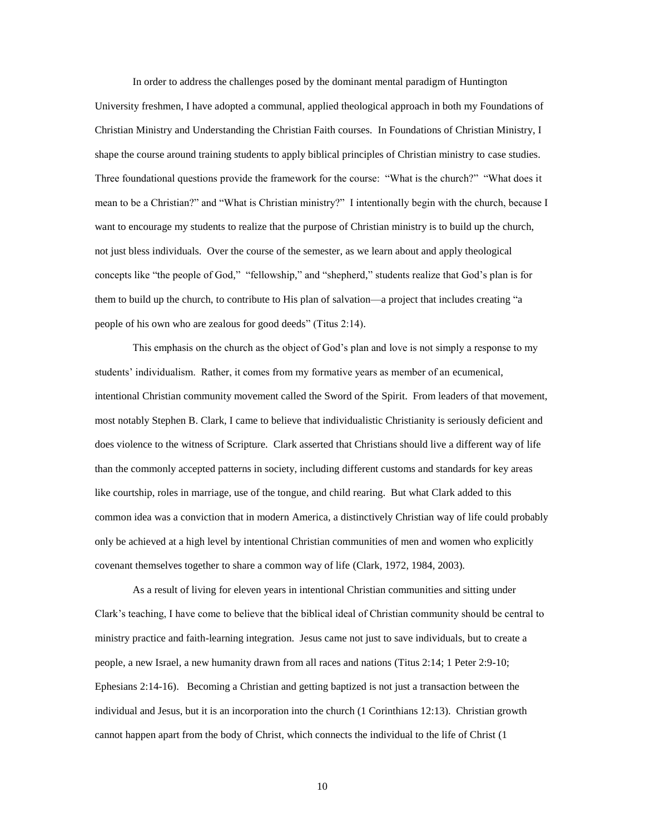In order to address the challenges posed by the dominant mental paradigm of Huntington University freshmen, I have adopted a communal, applied theological approach in both my Foundations of Christian Ministry and Understanding the Christian Faith courses. In Foundations of Christian Ministry, I shape the course around training students to apply biblical principles of Christian ministry to case studies. Three foundational questions provide the framework for the course: "What is the church?" "What does it mean to be a Christian?" and "What is Christian ministry?" I intentionally begin with the church, because I want to encourage my students to realize that the purpose of Christian ministry is to build up the church, not just bless individuals. Over the course of the semester, as we learn about and apply theological concepts like "the people of God," "fellowship," and "shepherd," students realize that God's plan is for them to build up the church, to contribute to His plan of salvation—a project that includes creating "a people of his own who are zealous for good deeds" (Titus 2:14).

This emphasis on the church as the object of God's plan and love is not simply a response to my students' individualism. Rather, it comes from my formative years as member of an ecumenical, intentional Christian community movement called the Sword of the Spirit. From leaders of that movement, most notably Stephen B. Clark, I came to believe that individualistic Christianity is seriously deficient and does violence to the witness of Scripture. Clark asserted that Christians should live a different way of life than the commonly accepted patterns in society, including different customs and standards for key areas like courtship, roles in marriage, use of the tongue, and child rearing. But what Clark added to this common idea was a conviction that in modern America, a distinctively Christian way of life could probably only be achieved at a high level by intentional Christian communities of men and women who explicitly covenant themselves together to share a common way of life (Clark, 1972, 1984, 2003).

As a result of living for eleven years in intentional Christian communities and sitting under Clark's teaching, I have come to believe that the biblical ideal of Christian community should be central to ministry practice and faith-learning integration. Jesus came not just to save individuals, but to create a people, a new Israel, a new humanity drawn from all races and nations (Titus 2:14; 1 Peter 2:9-10; Ephesians 2:14-16). Becoming a Christian and getting baptized is not just a transaction between the individual and Jesus, but it is an incorporation into the church (1 Corinthians 12:13). Christian growth cannot happen apart from the body of Christ, which connects the individual to the life of Christ (1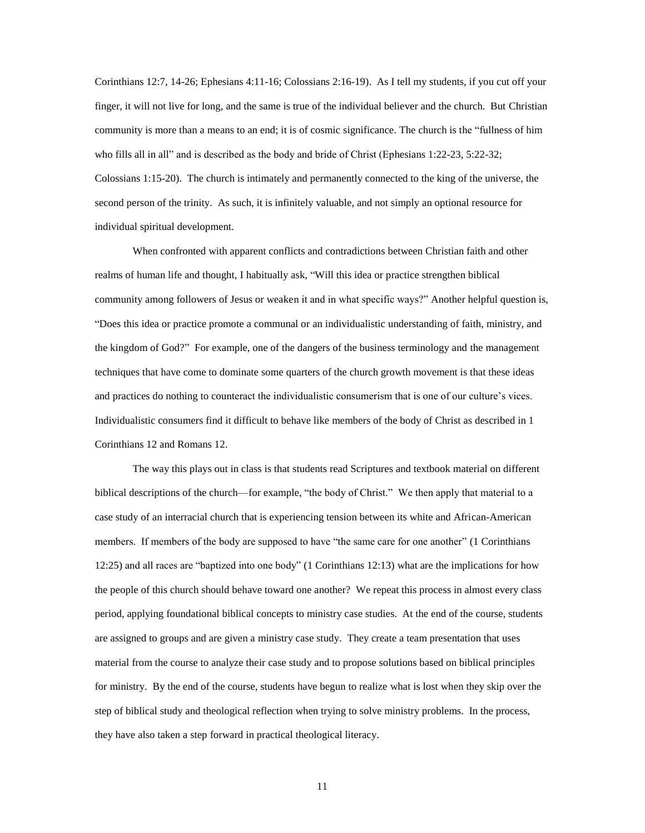Corinthians 12:7, 14-26; Ephesians 4:11-16; Colossians 2:16-19). As I tell my students, if you cut off your finger, it will not live for long, and the same is true of the individual believer and the church. But Christian community is more than a means to an end; it is of cosmic significance. The church is the "fullness of him who fills all in all" and is described as the body and bride of Christ (Ephesians 1:22-23, 5:22-32; Colossians 1:15-20). The church is intimately and permanently connected to the king of the universe, the second person of the trinity. As such, it is infinitely valuable, and not simply an optional resource for individual spiritual development.

When confronted with apparent conflicts and contradictions between Christian faith and other realms of human life and thought, I habitually ask, "Will this idea or practice strengthen biblical community among followers of Jesus or weaken it and in what specific ways?" Another helpful question is, "Does this idea or practice promote a communal or an individualistic understanding of faith, ministry, and the kingdom of God?" For example, one of the dangers of the business terminology and the management techniques that have come to dominate some quarters of the church growth movement is that these ideas and practices do nothing to counteract the individualistic consumerism that is one of our culture's vices. Individualistic consumers find it difficult to behave like members of the body of Christ as described in 1 Corinthians 12 and Romans 12.

The way this plays out in class is that students read Scriptures and textbook material on different biblical descriptions of the church—for example, "the body of Christ." We then apply that material to a case study of an interracial church that is experiencing tension between its white and African-American members. If members of the body are supposed to have "the same care for one another" (1 Corinthians 12:25) and all races are "baptized into one body" (1 Corinthians 12:13) what are the implications for how the people of this church should behave toward one another? We repeat this process in almost every class period, applying foundational biblical concepts to ministry case studies. At the end of the course, students are assigned to groups and are given a ministry case study. They create a team presentation that uses material from the course to analyze their case study and to propose solutions based on biblical principles for ministry. By the end of the course, students have begun to realize what is lost when they skip over the step of biblical study and theological reflection when trying to solve ministry problems. In the process, they have also taken a step forward in practical theological literacy.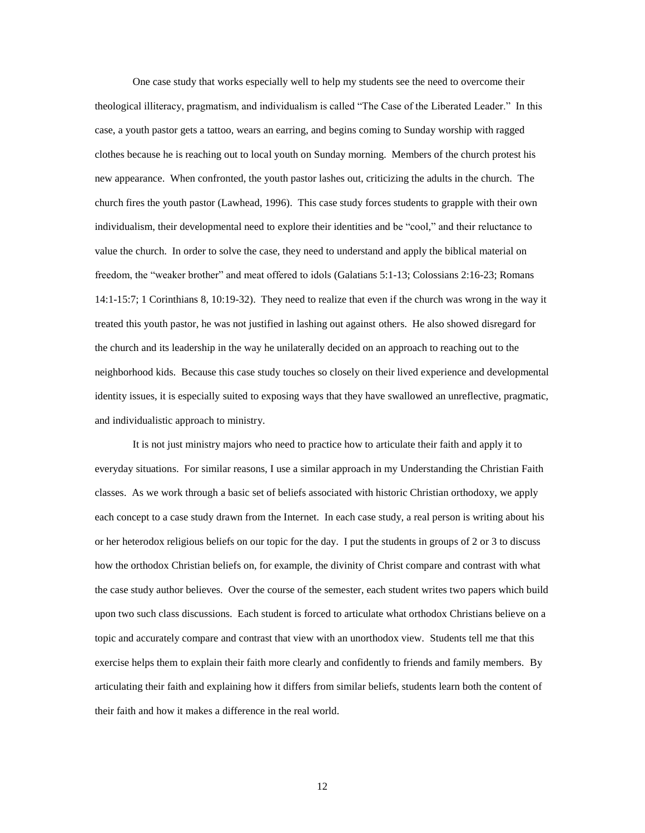One case study that works especially well to help my students see the need to overcome their theological illiteracy, pragmatism, and individualism is called "The Case of the Liberated Leader." In this case, a youth pastor gets a tattoo, wears an earring, and begins coming to Sunday worship with ragged clothes because he is reaching out to local youth on Sunday morning. Members of the church protest his new appearance. When confronted, the youth pastor lashes out, criticizing the adults in the church. The church fires the youth pastor (Lawhead, 1996). This case study forces students to grapple with their own individualism, their developmental need to explore their identities and be "cool," and their reluctance to value the church. In order to solve the case, they need to understand and apply the biblical material on freedom, the "weaker brother" and meat offered to idols (Galatians 5:1-13; Colossians 2:16-23; Romans 14:1-15:7; 1 Corinthians 8, 10:19-32). They need to realize that even if the church was wrong in the way it treated this youth pastor, he was not justified in lashing out against others. He also showed disregard for the church and its leadership in the way he unilaterally decided on an approach to reaching out to the neighborhood kids. Because this case study touches so closely on their lived experience and developmental identity issues, it is especially suited to exposing ways that they have swallowed an unreflective, pragmatic, and individualistic approach to ministry.

It is not just ministry majors who need to practice how to articulate their faith and apply it to everyday situations. For similar reasons, I use a similar approach in my Understanding the Christian Faith classes. As we work through a basic set of beliefs associated with historic Christian orthodoxy, we apply each concept to a case study drawn from the Internet. In each case study, a real person is writing about his or her heterodox religious beliefs on our topic for the day. I put the students in groups of 2 or 3 to discuss how the orthodox Christian beliefs on, for example, the divinity of Christ compare and contrast with what the case study author believes. Over the course of the semester, each student writes two papers which build upon two such class discussions. Each student is forced to articulate what orthodox Christians believe on a topic and accurately compare and contrast that view with an unorthodox view. Students tell me that this exercise helps them to explain their faith more clearly and confidently to friends and family members. By articulating their faith and explaining how it differs from similar beliefs, students learn both the content of their faith and how it makes a difference in the real world.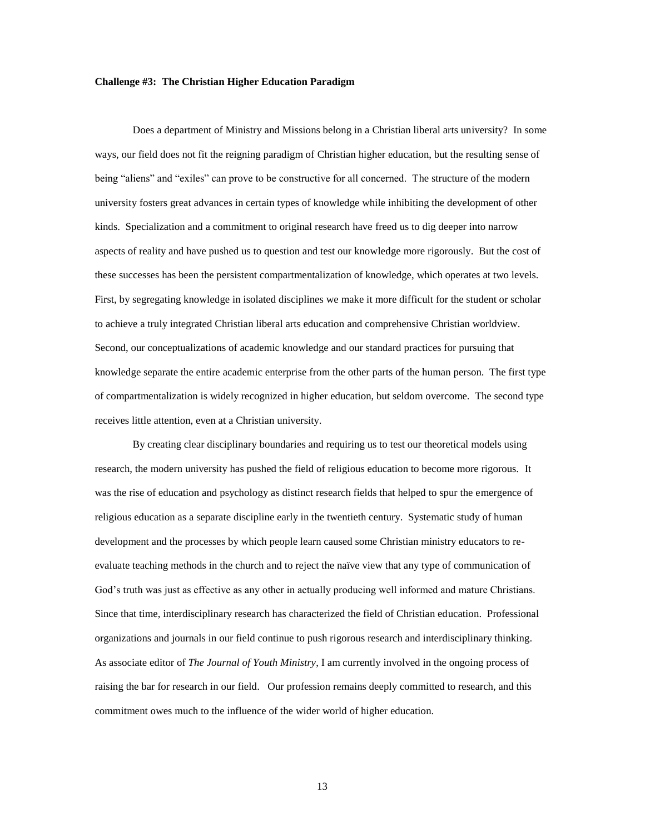#### **Challenge #3: The Christian Higher Education Paradigm**

Does a department of Ministry and Missions belong in a Christian liberal arts university? In some ways, our field does not fit the reigning paradigm of Christian higher education, but the resulting sense of being "aliens" and "exiles" can prove to be constructive for all concerned. The structure of the modern university fosters great advances in certain types of knowledge while inhibiting the development of other kinds. Specialization and a commitment to original research have freed us to dig deeper into narrow aspects of reality and have pushed us to question and test our knowledge more rigorously. But the cost of these successes has been the persistent compartmentalization of knowledge, which operates at two levels. First, by segregating knowledge in isolated disciplines we make it more difficult for the student or scholar to achieve a truly integrated Christian liberal arts education and comprehensive Christian worldview. Second, our conceptualizations of academic knowledge and our standard practices for pursuing that knowledge separate the entire academic enterprise from the other parts of the human person. The first type of compartmentalization is widely recognized in higher education, but seldom overcome. The second type receives little attention, even at a Christian university.

By creating clear disciplinary boundaries and requiring us to test our theoretical models using research, the modern university has pushed the field of religious education to become more rigorous. It was the rise of education and psychology as distinct research fields that helped to spur the emergence of religious education as a separate discipline early in the twentieth century. Systematic study of human development and the processes by which people learn caused some Christian ministry educators to reevaluate teaching methods in the church and to reject the naïve view that any type of communication of God's truth was just as effective as any other in actually producing well informed and mature Christians. Since that time, interdisciplinary research has characterized the field of Christian education. Professional organizations and journals in our field continue to push rigorous research and interdisciplinary thinking. As associate editor of *The Journal of Youth Ministry*, I am currently involved in the ongoing process of raising the bar for research in our field. Our profession remains deeply committed to research, and this commitment owes much to the influence of the wider world of higher education.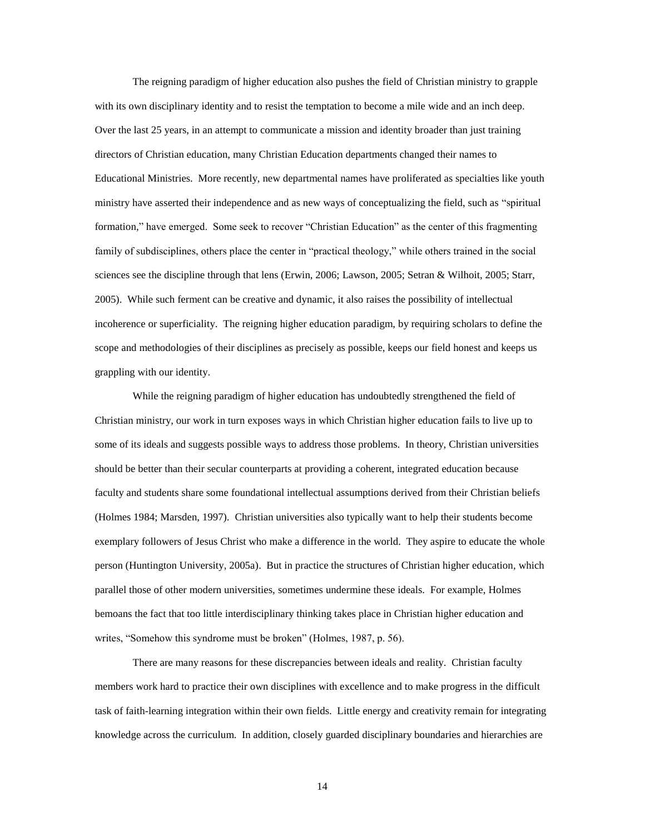The reigning paradigm of higher education also pushes the field of Christian ministry to grapple with its own disciplinary identity and to resist the temptation to become a mile wide and an inch deep. Over the last 25 years, in an attempt to communicate a mission and identity broader than just training directors of Christian education, many Christian Education departments changed their names to Educational Ministries. More recently, new departmental names have proliferated as specialties like youth ministry have asserted their independence and as new ways of conceptualizing the field, such as "spiritual formation," have emerged. Some seek to recover "Christian Education" as the center of this fragmenting family of subdisciplines, others place the center in "practical theology," while others trained in the social sciences see the discipline through that lens (Erwin, 2006; Lawson, 2005; Setran & Wilhoit, 2005; Starr, 2005). While such ferment can be creative and dynamic, it also raises the possibility of intellectual incoherence or superficiality. The reigning higher education paradigm, by requiring scholars to define the scope and methodologies of their disciplines as precisely as possible, keeps our field honest and keeps us grappling with our identity.

While the reigning paradigm of higher education has undoubtedly strengthened the field of Christian ministry, our work in turn exposes ways in which Christian higher education fails to live up to some of its ideals and suggests possible ways to address those problems. In theory, Christian universities should be better than their secular counterparts at providing a coherent, integrated education because faculty and students share some foundational intellectual assumptions derived from their Christian beliefs (Holmes 1984; Marsden, 1997). Christian universities also typically want to help their students become exemplary followers of Jesus Christ who make a difference in the world. They aspire to educate the whole person (Huntington University, 2005a). But in practice the structures of Christian higher education, which parallel those of other modern universities, sometimes undermine these ideals. For example, Holmes bemoans the fact that too little interdisciplinary thinking takes place in Christian higher education and writes, "Somehow this syndrome must be broken" (Holmes, 1987, p. 56).

There are many reasons for these discrepancies between ideals and reality. Christian faculty members work hard to practice their own disciplines with excellence and to make progress in the difficult task of faith-learning integration within their own fields. Little energy and creativity remain for integrating knowledge across the curriculum. In addition, closely guarded disciplinary boundaries and hierarchies are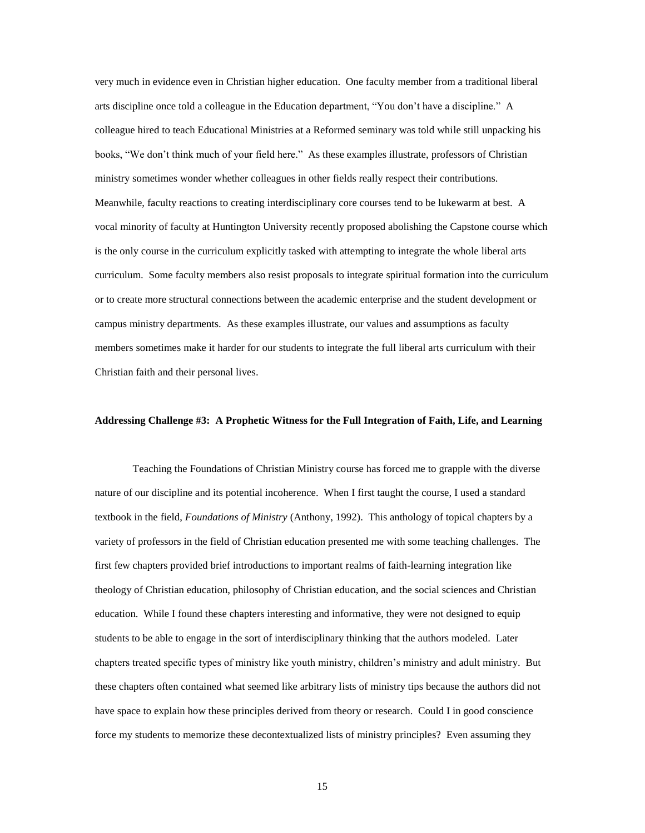very much in evidence even in Christian higher education. One faculty member from a traditional liberal arts discipline once told a colleague in the Education department, "You don't have a discipline." A colleague hired to teach Educational Ministries at a Reformed seminary was told while still unpacking his books, "We don't think much of your field here." As these examples illustrate, professors of Christian ministry sometimes wonder whether colleagues in other fields really respect their contributions. Meanwhile, faculty reactions to creating interdisciplinary core courses tend to be lukewarm at best. A vocal minority of faculty at Huntington University recently proposed abolishing the Capstone course which is the only course in the curriculum explicitly tasked with attempting to integrate the whole liberal arts curriculum. Some faculty members also resist proposals to integrate spiritual formation into the curriculum or to create more structural connections between the academic enterprise and the student development or campus ministry departments. As these examples illustrate, our values and assumptions as faculty members sometimes make it harder for our students to integrate the full liberal arts curriculum with their Christian faith and their personal lives.

#### **Addressing Challenge #3: A Prophetic Witness for the Full Integration of Faith, Life, and Learning**

Teaching the Foundations of Christian Ministry course has forced me to grapple with the diverse nature of our discipline and its potential incoherence. When I first taught the course, I used a standard textbook in the field, *Foundations of Ministry* (Anthony, 1992). This anthology of topical chapters by a variety of professors in the field of Christian education presented me with some teaching challenges. The first few chapters provided brief introductions to important realms of faith-learning integration like theology of Christian education, philosophy of Christian education, and the social sciences and Christian education. While I found these chapters interesting and informative, they were not designed to equip students to be able to engage in the sort of interdisciplinary thinking that the authors modeled. Later chapters treated specific types of ministry like youth ministry, children's ministry and adult ministry. But these chapters often contained what seemed like arbitrary lists of ministry tips because the authors did not have space to explain how these principles derived from theory or research. Could I in good conscience force my students to memorize these decontextualized lists of ministry principles? Even assuming they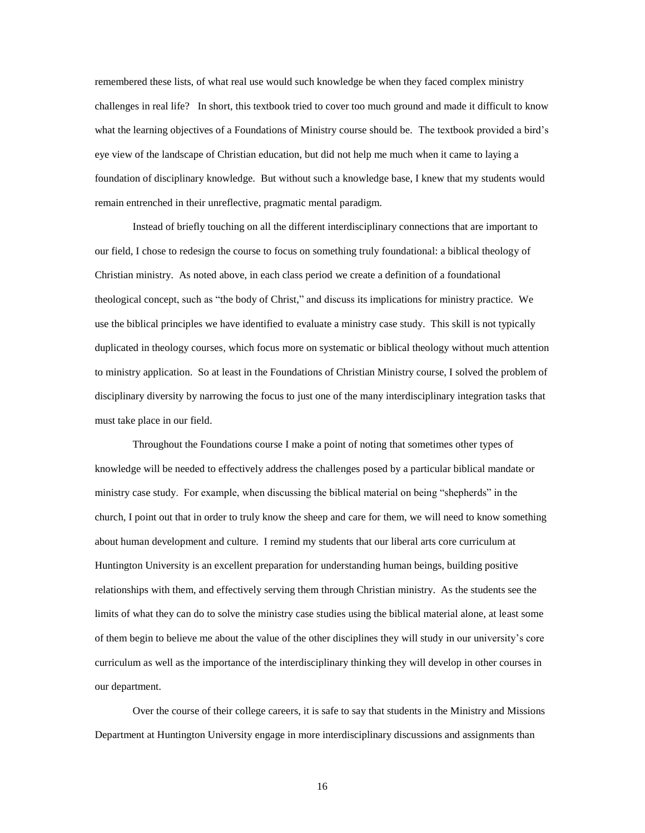remembered these lists, of what real use would such knowledge be when they faced complex ministry challenges in real life? In short, this textbook tried to cover too much ground and made it difficult to know what the learning objectives of a Foundations of Ministry course should be. The textbook provided a bird's eye view of the landscape of Christian education, but did not help me much when it came to laying a foundation of disciplinary knowledge. But without such a knowledge base, I knew that my students would remain entrenched in their unreflective, pragmatic mental paradigm.

Instead of briefly touching on all the different interdisciplinary connections that are important to our field, I chose to redesign the course to focus on something truly foundational: a biblical theology of Christian ministry. As noted above, in each class period we create a definition of a foundational theological concept, such as "the body of Christ," and discuss its implications for ministry practice. We use the biblical principles we have identified to evaluate a ministry case study. This skill is not typically duplicated in theology courses, which focus more on systematic or biblical theology without much attention to ministry application. So at least in the Foundations of Christian Ministry course, I solved the problem of disciplinary diversity by narrowing the focus to just one of the many interdisciplinary integration tasks that must take place in our field.

Throughout the Foundations course I make a point of noting that sometimes other types of knowledge will be needed to effectively address the challenges posed by a particular biblical mandate or ministry case study. For example, when discussing the biblical material on being "shepherds" in the church, I point out that in order to truly know the sheep and care for them, we will need to know something about human development and culture. I remind my students that our liberal arts core curriculum at Huntington University is an excellent preparation for understanding human beings, building positive relationships with them, and effectively serving them through Christian ministry. As the students see the limits of what they can do to solve the ministry case studies using the biblical material alone, at least some of them begin to believe me about the value of the other disciplines they will study in our university's core curriculum as well as the importance of the interdisciplinary thinking they will develop in other courses in our department.

Over the course of their college careers, it is safe to say that students in the Ministry and Missions Department at Huntington University engage in more interdisciplinary discussions and assignments than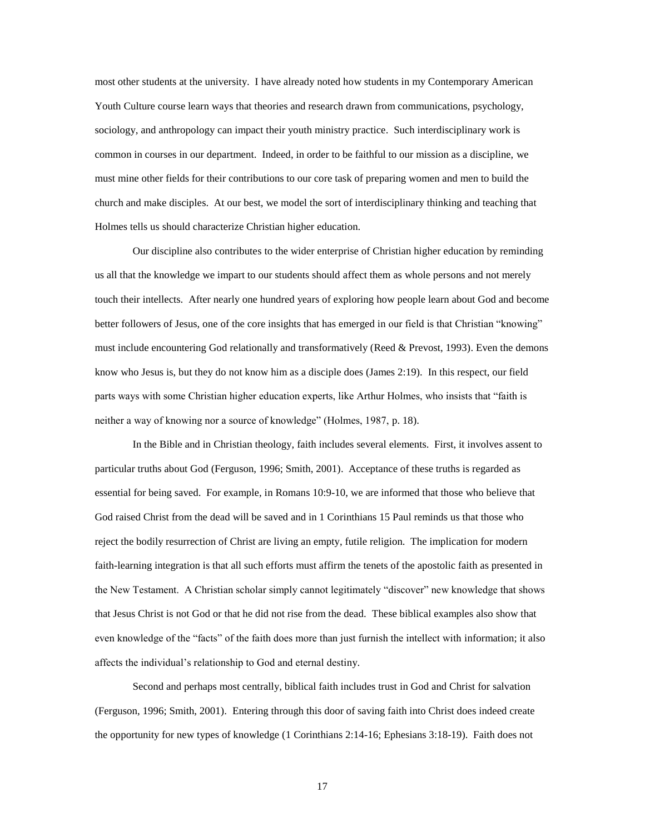most other students at the university. I have already noted how students in my Contemporary American Youth Culture course learn ways that theories and research drawn from communications, psychology, sociology, and anthropology can impact their youth ministry practice. Such interdisciplinary work is common in courses in our department. Indeed, in order to be faithful to our mission as a discipline, we must mine other fields for their contributions to our core task of preparing women and men to build the church and make disciples. At our best, we model the sort of interdisciplinary thinking and teaching that Holmes tells us should characterize Christian higher education.

Our discipline also contributes to the wider enterprise of Christian higher education by reminding us all that the knowledge we impart to our students should affect them as whole persons and not merely touch their intellects. After nearly one hundred years of exploring how people learn about God and become better followers of Jesus, one of the core insights that has emerged in our field is that Christian "knowing" must include encountering God relationally and transformatively (Reed & Prevost, 1993). Even the demons know who Jesus is, but they do not know him as a disciple does (James 2:19). In this respect, our field parts ways with some Christian higher education experts, like Arthur Holmes, who insists that "faith is neither a way of knowing nor a source of knowledge" (Holmes, 1987, p. 18).

In the Bible and in Christian theology, faith includes several elements. First, it involves assent to particular truths about God (Ferguson, 1996; Smith, 2001). Acceptance of these truths is regarded as essential for being saved. For example, in Romans 10:9-10, we are informed that those who believe that God raised Christ from the dead will be saved and in 1 Corinthians 15 Paul reminds us that those who reject the bodily resurrection of Christ are living an empty, futile religion. The implication for modern faith-learning integration is that all such efforts must affirm the tenets of the apostolic faith as presented in the New Testament. A Christian scholar simply cannot legitimately "discover" new knowledge that shows that Jesus Christ is not God or that he did not rise from the dead. These biblical examples also show that even knowledge of the "facts" of the faith does more than just furnish the intellect with information; it also affects the individual's relationship to God and eternal destiny.

Second and perhaps most centrally, biblical faith includes trust in God and Christ for salvation (Ferguson, 1996; Smith, 2001). Entering through this door of saving faith into Christ does indeed create the opportunity for new types of knowledge (1 Corinthians 2:14-16; Ephesians 3:18-19). Faith does not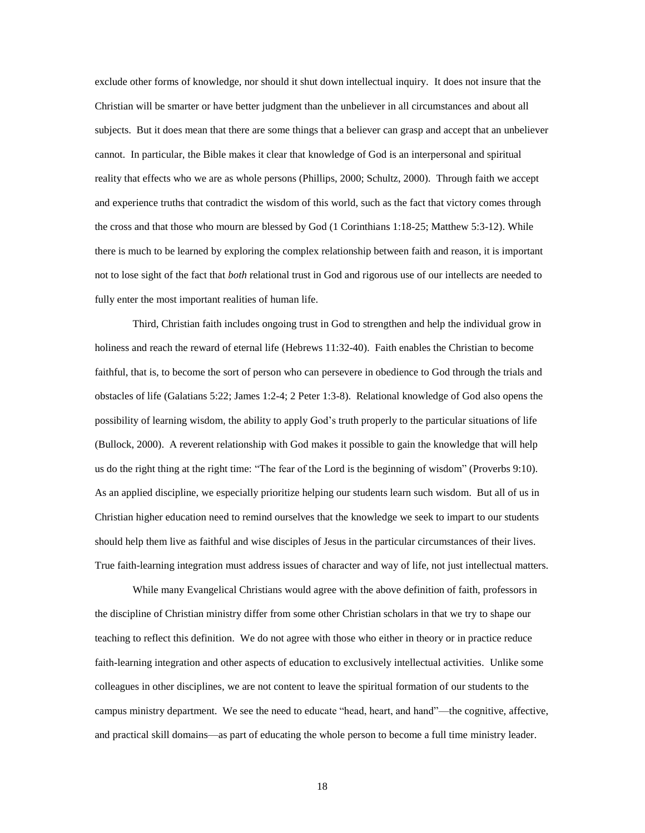exclude other forms of knowledge, nor should it shut down intellectual inquiry. It does not insure that the Christian will be smarter or have better judgment than the unbeliever in all circumstances and about all subjects. But it does mean that there are some things that a believer can grasp and accept that an unbeliever cannot. In particular, the Bible makes it clear that knowledge of God is an interpersonal and spiritual reality that effects who we are as whole persons (Phillips, 2000; Schultz, 2000). Through faith we accept and experience truths that contradict the wisdom of this world, such as the fact that victory comes through the cross and that those who mourn are blessed by God (1 Corinthians 1:18-25; Matthew 5:3-12). While there is much to be learned by exploring the complex relationship between faith and reason, it is important not to lose sight of the fact that *both* relational trust in God and rigorous use of our intellects are needed to fully enter the most important realities of human life.

Third, Christian faith includes ongoing trust in God to strengthen and help the individual grow in holiness and reach the reward of eternal life (Hebrews 11:32-40). Faith enables the Christian to become faithful, that is, to become the sort of person who can persevere in obedience to God through the trials and obstacles of life (Galatians 5:22; James 1:2-4; 2 Peter 1:3-8). Relational knowledge of God also opens the possibility of learning wisdom, the ability to apply God's truth properly to the particular situations of life (Bullock, 2000). A reverent relationship with God makes it possible to gain the knowledge that will help us do the right thing at the right time: "The fear of the Lord is the beginning of wisdom" (Proverbs 9:10). As an applied discipline, we especially prioritize helping our students learn such wisdom. But all of us in Christian higher education need to remind ourselves that the knowledge we seek to impart to our students should help them live as faithful and wise disciples of Jesus in the particular circumstances of their lives. True faith-learning integration must address issues of character and way of life, not just intellectual matters.

While many Evangelical Christians would agree with the above definition of faith, professors in the discipline of Christian ministry differ from some other Christian scholars in that we try to shape our teaching to reflect this definition. We do not agree with those who either in theory or in practice reduce faith-learning integration and other aspects of education to exclusively intellectual activities. Unlike some colleagues in other disciplines, we are not content to leave the spiritual formation of our students to the campus ministry department. We see the need to educate "head, heart, and hand"—the cognitive, affective, and practical skill domains—as part of educating the whole person to become a full time ministry leader.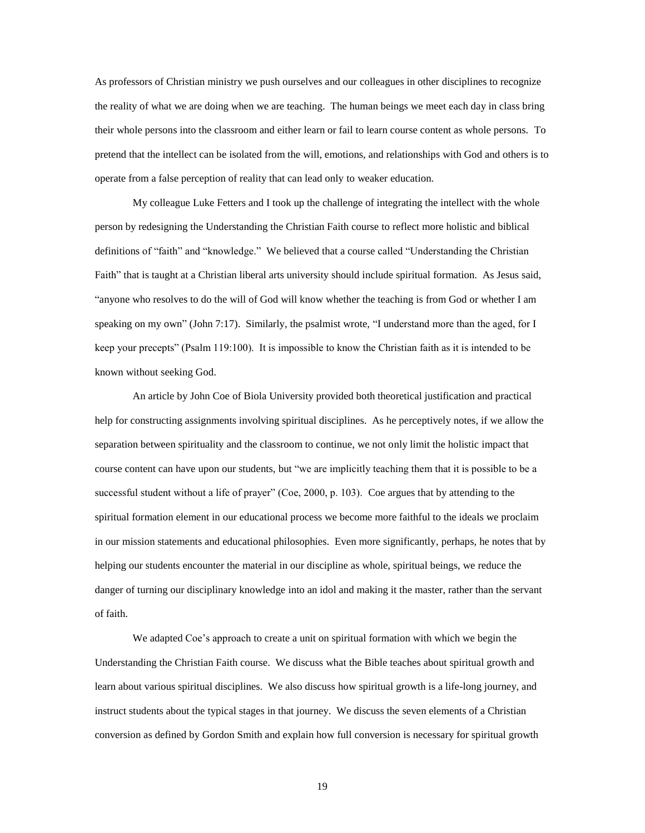As professors of Christian ministry we push ourselves and our colleagues in other disciplines to recognize the reality of what we are doing when we are teaching. The human beings we meet each day in class bring their whole persons into the classroom and either learn or fail to learn course content as whole persons. To pretend that the intellect can be isolated from the will, emotions, and relationships with God and others is to operate from a false perception of reality that can lead only to weaker education.

My colleague Luke Fetters and I took up the challenge of integrating the intellect with the whole person by redesigning the Understanding the Christian Faith course to reflect more holistic and biblical definitions of "faith" and "knowledge." We believed that a course called "Understanding the Christian Faith" that is taught at a Christian liberal arts university should include spiritual formation. As Jesus said, "anyone who resolves to do the will of God will know whether the teaching is from God or whether I am speaking on my own" (John 7:17). Similarly, the psalmist wrote, "I understand more than the aged, for I keep your precepts" (Psalm 119:100). It is impossible to know the Christian faith as it is intended to be known without seeking God.

An article by John Coe of Biola University provided both theoretical justification and practical help for constructing assignments involving spiritual disciplines. As he perceptively notes, if we allow the separation between spirituality and the classroom to continue, we not only limit the holistic impact that course content can have upon our students, but "we are implicitly teaching them that it is possible to be a successful student without a life of prayer" (Coe, 2000, p. 103). Coe argues that by attending to the spiritual formation element in our educational process we become more faithful to the ideals we proclaim in our mission statements and educational philosophies. Even more significantly, perhaps, he notes that by helping our students encounter the material in our discipline as whole, spiritual beings, we reduce the danger of turning our disciplinary knowledge into an idol and making it the master, rather than the servant of faith.

We adapted Coe's approach to create a unit on spiritual formation with which we begin the Understanding the Christian Faith course. We discuss what the Bible teaches about spiritual growth and learn about various spiritual disciplines. We also discuss how spiritual growth is a life-long journey, and instruct students about the typical stages in that journey. We discuss the seven elements of a Christian conversion as defined by Gordon Smith and explain how full conversion is necessary for spiritual growth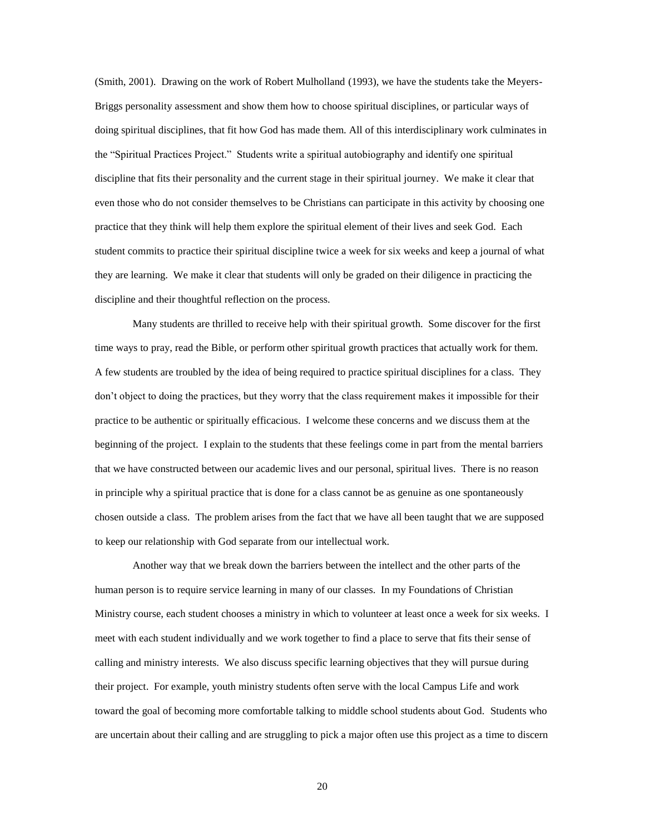(Smith, 2001). Drawing on the work of Robert Mulholland (1993), we have the students take the Meyers-Briggs personality assessment and show them how to choose spiritual disciplines, or particular ways of doing spiritual disciplines, that fit how God has made them. All of this interdisciplinary work culminates in the "Spiritual Practices Project." Students write a spiritual autobiography and identify one spiritual discipline that fits their personality and the current stage in their spiritual journey. We make it clear that even those who do not consider themselves to be Christians can participate in this activity by choosing one practice that they think will help them explore the spiritual element of their lives and seek God. Each student commits to practice their spiritual discipline twice a week for six weeks and keep a journal of what they are learning. We make it clear that students will only be graded on their diligence in practicing the discipline and their thoughtful reflection on the process.

Many students are thrilled to receive help with their spiritual growth. Some discover for the first time ways to pray, read the Bible, or perform other spiritual growth practices that actually work for them. A few students are troubled by the idea of being required to practice spiritual disciplines for a class. They don't object to doing the practices, but they worry that the class requirement makes it impossible for their practice to be authentic or spiritually efficacious. I welcome these concerns and we discuss them at the beginning of the project. I explain to the students that these feelings come in part from the mental barriers that we have constructed between our academic lives and our personal, spiritual lives. There is no reason in principle why a spiritual practice that is done for a class cannot be as genuine as one spontaneously chosen outside a class. The problem arises from the fact that we have all been taught that we are supposed to keep our relationship with God separate from our intellectual work.

Another way that we break down the barriers between the intellect and the other parts of the human person is to require service learning in many of our classes. In my Foundations of Christian Ministry course, each student chooses a ministry in which to volunteer at least once a week for six weeks. I meet with each student individually and we work together to find a place to serve that fits their sense of calling and ministry interests. We also discuss specific learning objectives that they will pursue during their project. For example, youth ministry students often serve with the local Campus Life and work toward the goal of becoming more comfortable talking to middle school students about God. Students who are uncertain about their calling and are struggling to pick a major often use this project as a time to discern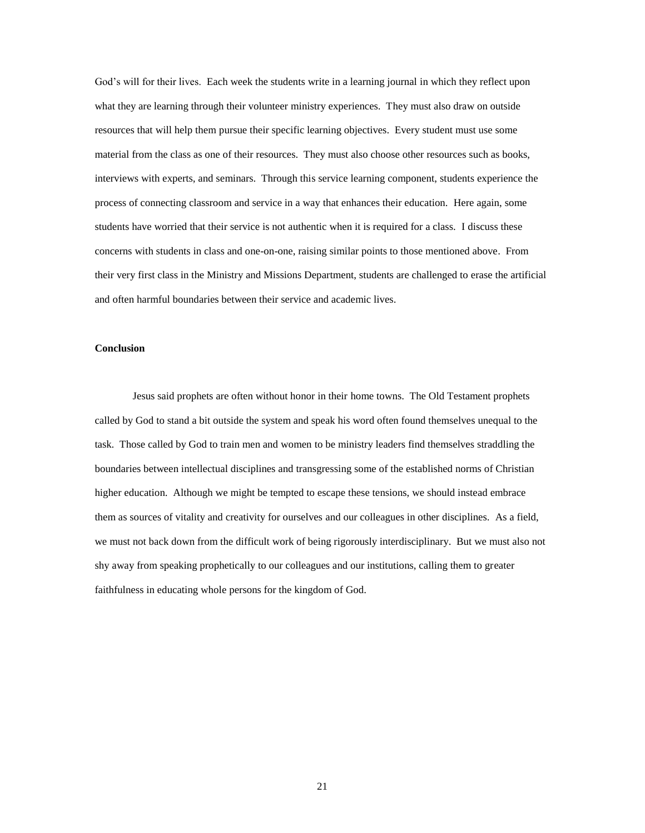God's will for their lives. Each week the students write in a learning journal in which they reflect upon what they are learning through their volunteer ministry experiences. They must also draw on outside resources that will help them pursue their specific learning objectives. Every student must use some material from the class as one of their resources. They must also choose other resources such as books, interviews with experts, and seminars. Through this service learning component, students experience the process of connecting classroom and service in a way that enhances their education. Here again, some students have worried that their service is not authentic when it is required for a class. I discuss these concerns with students in class and one-on-one, raising similar points to those mentioned above. From their very first class in the Ministry and Missions Department, students are challenged to erase the artificial and often harmful boundaries between their service and academic lives.

## **Conclusion**

Jesus said prophets are often without honor in their home towns. The Old Testament prophets called by God to stand a bit outside the system and speak his word often found themselves unequal to the task. Those called by God to train men and women to be ministry leaders find themselves straddling the boundaries between intellectual disciplines and transgressing some of the established norms of Christian higher education. Although we might be tempted to escape these tensions, we should instead embrace them as sources of vitality and creativity for ourselves and our colleagues in other disciplines. As a field, we must not back down from the difficult work of being rigorously interdisciplinary. But we must also not shy away from speaking prophetically to our colleagues and our institutions, calling them to greater faithfulness in educating whole persons for the kingdom of God.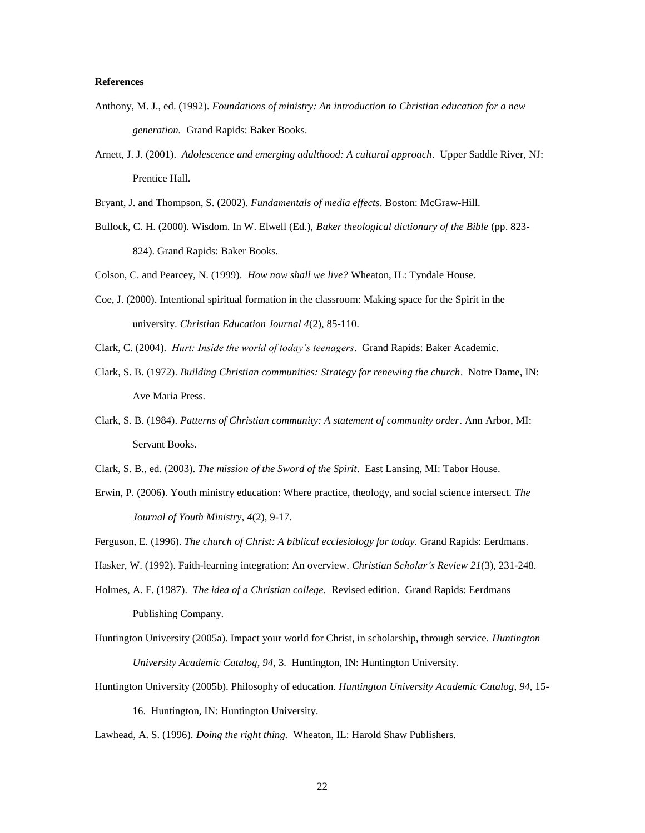## **References**

- Anthony, M. J., ed. (1992). *Foundations of ministry: An introduction to Christian education for a new generation.* Grand Rapids: Baker Books.
- Arnett, J. J. (2001). *Adolescence and emerging adulthood: A cultural approach*. Upper Saddle River, NJ: Prentice Hall.

Bryant, J. and Thompson, S. (2002). *Fundamentals of media effects*. Boston: McGraw-Hill.

Bullock, C. H. (2000). Wisdom. In W. Elwell (Ed.), *Baker theological dictionary of the Bible* (pp. 823- 824). Grand Rapids: Baker Books.

Colson, C. and Pearcey, N. (1999). *How now shall we live?* Wheaton, IL: Tyndale House.

- Coe, J. (2000). Intentional spiritual formation in the classroom: Making space for the Spirit in the university. *Christian Education Journal 4*(2), 85-110.
- Clark, C. (2004). *Hurt: Inside the world of today's teenagers*. Grand Rapids: Baker Academic.
- Clark, S. B. (1972). *Building Christian communities: Strategy for renewing the church*. Notre Dame, IN: Ave Maria Press.
- Clark, S. B. (1984). *Patterns of Christian community: A statement of community order*. Ann Arbor, MI: Servant Books.
- Clark, S. B., ed. (2003). *The mission of the Sword of the Spirit*. East Lansing, MI: Tabor House.
- Erwin, P. (2006). Youth ministry education: Where practice, theology, and social science intersect. *The Journal of Youth Ministry, 4*(2), 9-17.
- Ferguson, E. (1996). *The church of Christ: A biblical ecclesiology for today.* Grand Rapids: Eerdmans.
- Hasker, W. (1992). Faith-learning integration: An overview. *Christian Scholar's Review 21*(3), 231-248.
- Holmes, A. F. (1987). *The idea of a Christian college.* Revised edition. Grand Rapids: Eerdmans Publishing Company.
- Huntington University (2005a). Impact your world for Christ, in scholarship, through service. *Huntington University Academic Catalog*, *94,* 3. Huntington, IN: Huntington University.
- Huntington University (2005b). Philosophy of education. *Huntington University Academic Catalog*, *94,* 15- 16. Huntington, IN: Huntington University.

Lawhead, A. S. (1996). *Doing the right thing.* Wheaton, IL: Harold Shaw Publishers.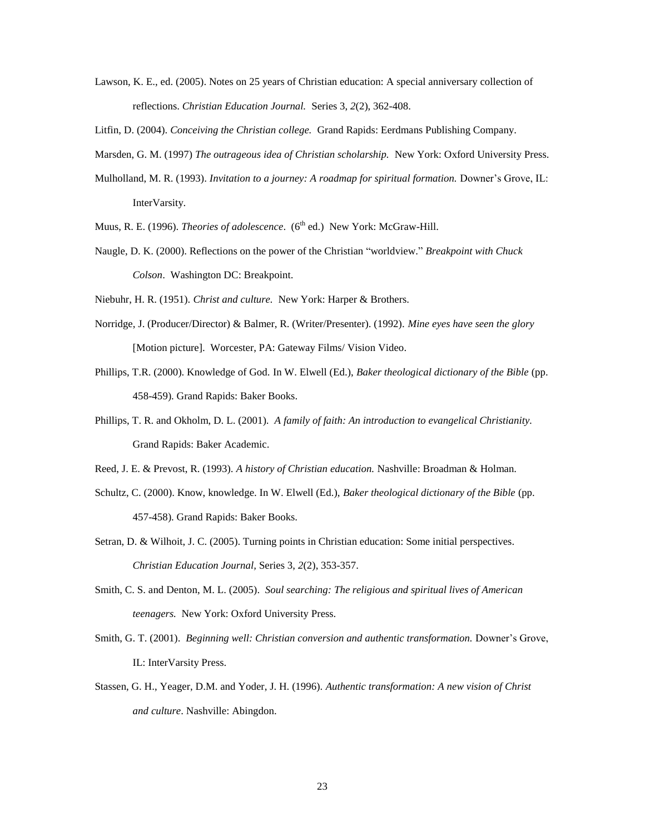Lawson, K. E., ed. (2005). Notes on 25 years of Christian education: A special anniversary collection of reflections. *Christian Education Journal.* Series 3, *2*(2), 362-408.

Litfin, D. (2004). *Conceiving the Christian college.* Grand Rapids: Eerdmans Publishing Company.

- Marsden, G. M. (1997) *The outrageous idea of Christian scholarship.* New York: Oxford University Press.
- Mulholland, M. R. (1993). *Invitation to a journey: A roadmap for spiritual formation.* Downer's Grove, IL: InterVarsity.
- Muus, R. E. (1996). *Theories of adolescence*. (6<sup>th</sup> ed.) New York: McGraw-Hill.
- Naugle, D. K. (2000). Reflections on the power of the Christian "worldview." *Breakpoint with Chuck Colson*. Washington DC: Breakpoint.

Niebuhr, H. R. (1951). *Christ and culture.* New York: Harper & Brothers.

- Norridge, J. (Producer/Director) & Balmer, R. (Writer/Presenter). (1992). *Mine eyes have seen the glory*  [Motion picture]. Worcester, PA: Gateway Films/ Vision Video.
- Phillips, T.R. (2000). Knowledge of God. In W. Elwell (Ed.), *Baker theological dictionary of the Bible* (pp. 458-459). Grand Rapids: Baker Books.
- Phillips, T. R. and Okholm, D. L. (2001). *A family of faith: An introduction to evangelical Christianity.* Grand Rapids: Baker Academic.

Reed, J. E. & Prevost, R. (1993). *A history of Christian education.* Nashville: Broadman & Holman.

- Schultz, C. (2000). Know, knowledge. In W. Elwell (Ed.), *Baker theological dictionary of the Bible* (pp. 457-458). Grand Rapids: Baker Books.
- Setran, D. & Wilhoit, J. C. (2005). Turning points in Christian education: Some initial perspectives. *Christian Education Journal,* Series 3, *2*(2), 353-357.
- Smith, C. S. and Denton, M. L. (2005). *Soul searching: The religious and spiritual lives of American teenagers.* New York: Oxford University Press.
- Smith, G. T. (2001). *Beginning well: Christian conversion and authentic transformation.* Downer's Grove, IL: InterVarsity Press.
- Stassen, G. H., Yeager, D.M. and Yoder, J. H. (1996). *Authentic transformation: A new vision of Christ and culture*. Nashville: Abingdon.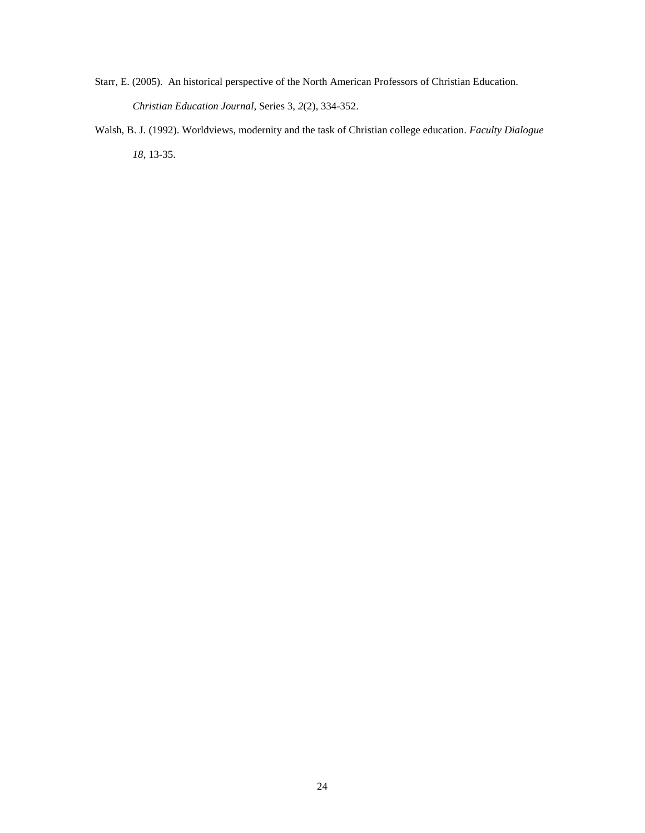- Starr, E. (2005). An historical perspective of the North American Professors of Christian Education. *Christian Education Journal,* Series 3, *2*(2), 334-352.
- Walsh, B. J. (1992). Worldviews, modernity and the task of Christian college education. *Faculty Dialogue 18,* 13-35.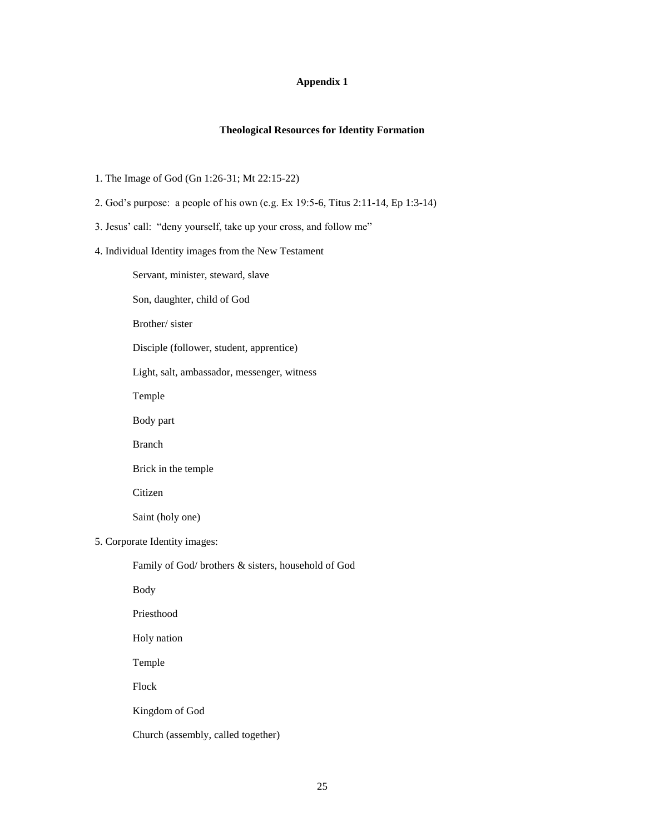# **Appendix 1**

# **Theological Resources for Identity Formation**

- 1. The Image of God (Gn 1:26-31; Mt 22:15-22)
- 2. God's purpose: a people of his own (e.g. Ex 19:5-6, Titus 2:11-14, Ep 1:3-14)
- 3. Jesus' call: "deny yourself, take up your cross, and follow me"
- 4. Individual Identity images from the New Testament
	- Servant, minister, steward, slave
	- Son, daughter, child of God
	- Brother/ sister
	- Disciple (follower, student, apprentice)
	- Light, salt, ambassador, messenger, witness
	- Temple
	- Body part
	- Branch
	- Brick in the temple
	- Citizen
	- Saint (holy one)
- 5. Corporate Identity images:
	- Family of God/ brothers & sisters, household of God
	- Body
	- Priesthood
	- Holy nation
	- Temple
	- Flock
	- Kingdom of God
	- Church (assembly, called together)